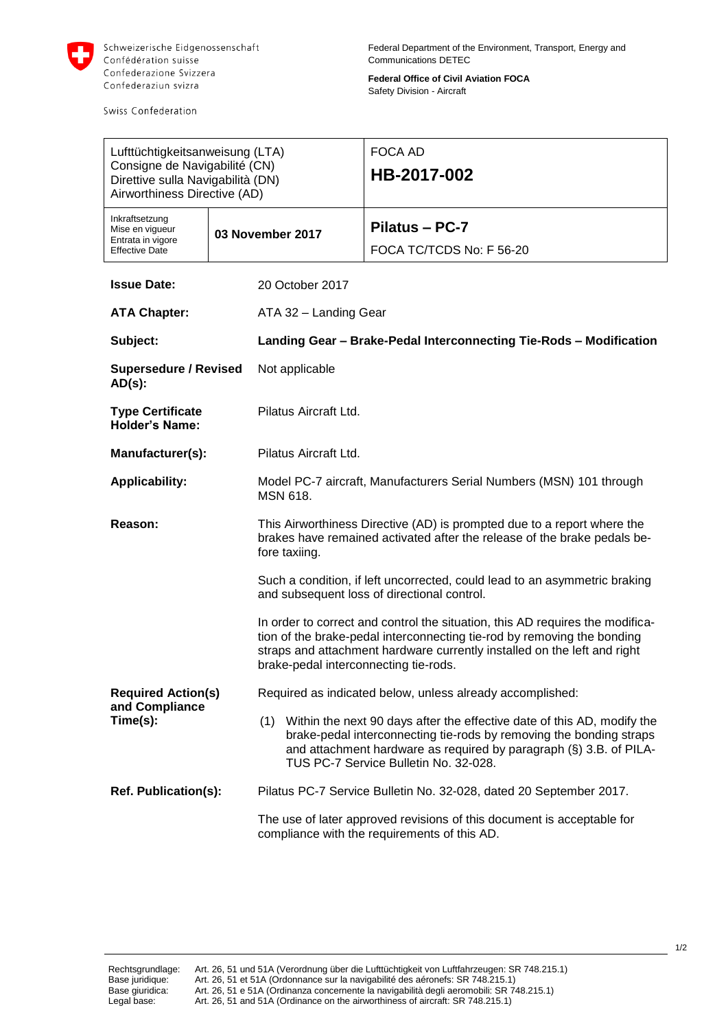

Swiss Confederation

**Federal Office of Civil Aviation FOCA** Safety Division - Aircraft

| Lufttüchtigkeitsanweisung (LTA)<br>Consigne de Navigabilité (CN)<br>Direttive sulla Navigabilità (DN)<br>Airworthiness Directive (AD) |                  |                                                                                                                                                                                                                                                                               | <b>FOCA AD</b><br>HB-2017-002                                                                                                                                                                                                                                     |  |
|---------------------------------------------------------------------------------------------------------------------------------------|------------------|-------------------------------------------------------------------------------------------------------------------------------------------------------------------------------------------------------------------------------------------------------------------------------|-------------------------------------------------------------------------------------------------------------------------------------------------------------------------------------------------------------------------------------------------------------------|--|
| Inkraftsetzung<br>Mise en vigueur<br>Entrata in vigore<br><b>Effective Date</b>                                                       | 03 November 2017 |                                                                                                                                                                                                                                                                               | Pilatus - PC-7<br>FOCA TC/TCDS No: F 56-20                                                                                                                                                                                                                        |  |
| <b>Issue Date:</b>                                                                                                                    |                  | 20 October 2017                                                                                                                                                                                                                                                               |                                                                                                                                                                                                                                                                   |  |
| <b>ATA Chapter:</b>                                                                                                                   |                  | ATA 32 - Landing Gear                                                                                                                                                                                                                                                         |                                                                                                                                                                                                                                                                   |  |
| Subject:                                                                                                                              |                  | Landing Gear - Brake-Pedal Interconnecting Tie-Rods - Modification                                                                                                                                                                                                            |                                                                                                                                                                                                                                                                   |  |
| <b>Supersedure / Revised</b><br>$AD(s)$ :                                                                                             |                  | Not applicable                                                                                                                                                                                                                                                                |                                                                                                                                                                                                                                                                   |  |
| <b>Type Certificate</b><br><b>Holder's Name:</b>                                                                                      |                  | Pilatus Aircraft Ltd.                                                                                                                                                                                                                                                         |                                                                                                                                                                                                                                                                   |  |
| Manufacturer(s):                                                                                                                      |                  | Pilatus Aircraft Ltd.                                                                                                                                                                                                                                                         |                                                                                                                                                                                                                                                                   |  |
| <b>Applicability:</b>                                                                                                                 |                  | Model PC-7 aircraft, Manufacturers Serial Numbers (MSN) 101 through<br><b>MSN 618.</b>                                                                                                                                                                                        |                                                                                                                                                                                                                                                                   |  |
| Reason:                                                                                                                               |                  | This Airworthiness Directive (AD) is prompted due to a report where the<br>brakes have remained activated after the release of the brake pedals be-<br>fore taxiing.                                                                                                          |                                                                                                                                                                                                                                                                   |  |
|                                                                                                                                       |                  | Such a condition, if left uncorrected, could lead to an asymmetric braking<br>and subsequent loss of directional control.                                                                                                                                                     |                                                                                                                                                                                                                                                                   |  |
|                                                                                                                                       |                  | In order to correct and control the situation, this AD requires the modifica-<br>tion of the brake-pedal interconnecting tie-rod by removing the bonding<br>straps and attachment hardware currently installed on the left and right<br>brake-pedal interconnecting tie-rods. |                                                                                                                                                                                                                                                                   |  |
| <b>Required Action(s)</b><br>and Compliance                                                                                           |                  | Required as indicated below, unless already accomplished:                                                                                                                                                                                                                     |                                                                                                                                                                                                                                                                   |  |
| Time(s):                                                                                                                              |                  |                                                                                                                                                                                                                                                                               | (1) Within the next 90 days after the effective date of this AD, modify the<br>brake-pedal interconnecting tie-rods by removing the bonding straps<br>and attachment hardware as required by paragraph (§) 3.B. of PILA-<br>TUS PC-7 Service Bulletin No. 32-028. |  |
| <b>Ref. Publication(s):</b>                                                                                                           |                  | Pilatus PC-7 Service Bulletin No. 32-028, dated 20 September 2017.                                                                                                                                                                                                            |                                                                                                                                                                                                                                                                   |  |
|                                                                                                                                       |                  | The use of later approved revisions of this document is acceptable for<br>compliance with the requirements of this AD.                                                                                                                                                        |                                                                                                                                                                                                                                                                   |  |